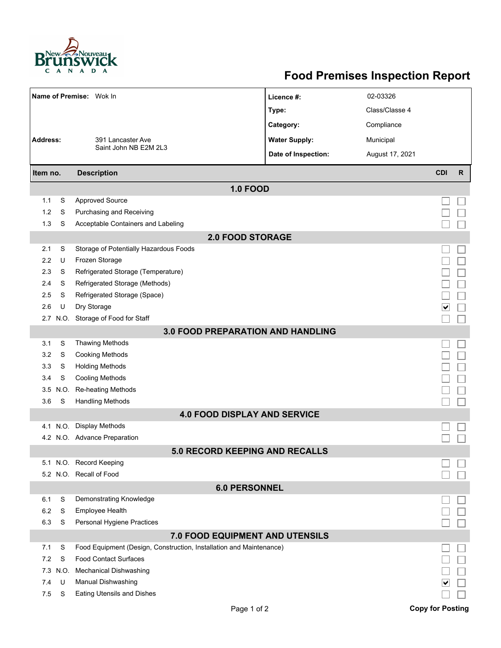

## **Food Premises Inspection Report**

| Name of Premise: Wok In               |      |                                                                     | Licence #:           | 02-03326        |                         |   |  |  |  |  |  |  |
|---------------------------------------|------|---------------------------------------------------------------------|----------------------|-----------------|-------------------------|---|--|--|--|--|--|--|
|                                       |      |                                                                     | Type:                | Class/Classe 4  |                         |   |  |  |  |  |  |  |
|                                       |      |                                                                     | Category:            | Compliance      |                         |   |  |  |  |  |  |  |
| <b>Address:</b>                       |      | 391 Lancaster Ave                                                   | <b>Water Supply:</b> | Municipal       |                         |   |  |  |  |  |  |  |
|                                       |      | Saint John NB E2M 2L3                                               | Date of Inspection:  | August 17, 2021 |                         |   |  |  |  |  |  |  |
|                                       |      |                                                                     |                      |                 | <b>CDI</b>              | R |  |  |  |  |  |  |
| Item no.                              |      | <b>Description</b>                                                  |                      |                 |                         |   |  |  |  |  |  |  |
|                                       |      | <b>1.0 FOOD</b>                                                     |                      |                 |                         |   |  |  |  |  |  |  |
| 1.1                                   | S    | <b>Approved Source</b>                                              |                      |                 |                         |   |  |  |  |  |  |  |
| 1.2                                   | S    | Purchasing and Receiving                                            |                      |                 |                         |   |  |  |  |  |  |  |
| 1.3                                   | S    | Acceptable Containers and Labeling                                  |                      |                 |                         |   |  |  |  |  |  |  |
| <b>2.0 FOOD STORAGE</b>               |      |                                                                     |                      |                 |                         |   |  |  |  |  |  |  |
| 2.1                                   | S    | Storage of Potentially Hazardous Foods                              |                      |                 |                         |   |  |  |  |  |  |  |
| 2.2                                   | U    | Frozen Storage                                                      |                      |                 |                         |   |  |  |  |  |  |  |
| 2.3                                   | S    | Refrigerated Storage (Temperature)                                  |                      |                 |                         |   |  |  |  |  |  |  |
| 2.4                                   | S    | Refrigerated Storage (Methods)                                      |                      |                 |                         |   |  |  |  |  |  |  |
| 2.5                                   | S    | Refrigerated Storage (Space)                                        |                      |                 |                         |   |  |  |  |  |  |  |
| 2.6                                   | U    | Dry Storage                                                         |                      |                 | ∨                       |   |  |  |  |  |  |  |
|                                       |      | 2.7 N.O. Storage of Food for Staff                                  |                      |                 |                         |   |  |  |  |  |  |  |
|                                       |      | <b>3.0 FOOD PREPARATION AND HANDLING</b>                            |                      |                 |                         |   |  |  |  |  |  |  |
| 3.1                                   | S    | <b>Thawing Methods</b>                                              |                      |                 |                         |   |  |  |  |  |  |  |
| 3.2                                   | S    | <b>Cooking Methods</b>                                              |                      |                 |                         |   |  |  |  |  |  |  |
| 3.3                                   | S    | <b>Holding Methods</b>                                              |                      |                 |                         |   |  |  |  |  |  |  |
| 3.4                                   | S    | <b>Cooling Methods</b>                                              |                      |                 |                         |   |  |  |  |  |  |  |
| 3.5                                   | N.O. | Re-heating Methods                                                  |                      |                 |                         |   |  |  |  |  |  |  |
| 3.6                                   | S    | <b>Handling Methods</b>                                             |                      |                 |                         |   |  |  |  |  |  |  |
|                                       |      | <b>4.0 FOOD DISPLAY AND SERVICE</b>                                 |                      |                 |                         |   |  |  |  |  |  |  |
| 4.1                                   | N.O. | <b>Display Methods</b>                                              |                      |                 |                         |   |  |  |  |  |  |  |
|                                       |      | 4.2 N.O. Advance Preparation                                        |                      |                 |                         |   |  |  |  |  |  |  |
| <b>5.0 RECORD KEEPING AND RECALLS</b> |      |                                                                     |                      |                 |                         |   |  |  |  |  |  |  |
|                                       |      | 5.1 N.O. Record Keeping                                             |                      |                 |                         |   |  |  |  |  |  |  |
|                                       |      | 5.2 N.O. Recall of Food                                             |                      |                 |                         |   |  |  |  |  |  |  |
| <b>6.0 PERSONNEL</b>                  |      |                                                                     |                      |                 |                         |   |  |  |  |  |  |  |
| 6.1                                   | S    | Demonstrating Knowledge                                             |                      |                 |                         |   |  |  |  |  |  |  |
| 6.2                                   | S    | Employee Health                                                     |                      |                 |                         |   |  |  |  |  |  |  |
| 6.3                                   | S    | Personal Hygiene Practices                                          |                      |                 |                         |   |  |  |  |  |  |  |
| 7.0 FOOD EQUIPMENT AND UTENSILS       |      |                                                                     |                      |                 |                         |   |  |  |  |  |  |  |
| 7.1                                   | S    | Food Equipment (Design, Construction, Installation and Maintenance) |                      |                 |                         |   |  |  |  |  |  |  |
| 7.2                                   | S    | <b>Food Contact Surfaces</b>                                        |                      |                 |                         |   |  |  |  |  |  |  |
| 7.3                                   | N.O. | <b>Mechanical Dishwashing</b>                                       |                      |                 |                         |   |  |  |  |  |  |  |
| 7.4                                   | U    | Manual Dishwashing                                                  |                      |                 |                         |   |  |  |  |  |  |  |
| 7.5                                   | S    | Eating Utensils and Dishes                                          |                      |                 |                         |   |  |  |  |  |  |  |
|                                       |      | Page 1 of 2                                                         |                      |                 | <b>Copy for Posting</b> |   |  |  |  |  |  |  |